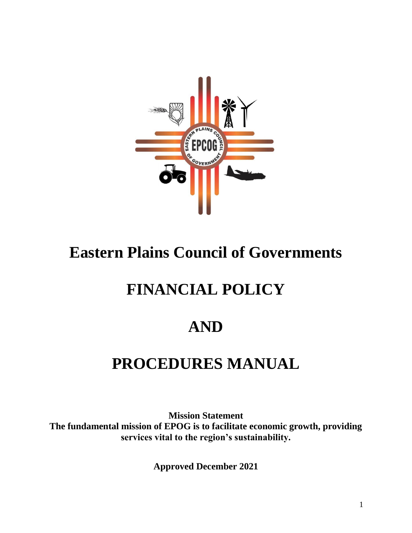

# **Eastern Plains Council of Governments**

# **FINANCIAL POLICY**

# **AND**

# **PROCEDURES MANUAL**

**Mission Statement The fundamental mission of EPOG is to facilitate economic growth, providing services vital to the region's sustainability.**

**Approved December 2021**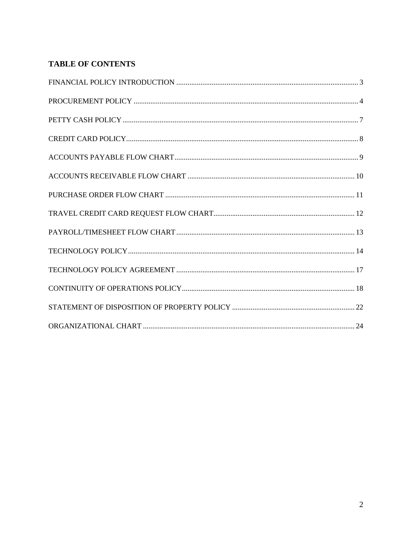# **TABLE OF CONTENTS**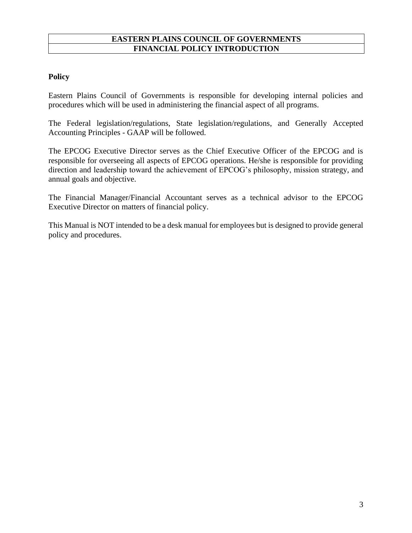# **EASTERN PLAINS COUNCIL OF GOVERNMENTS FINANCIAL POLICY INTRODUCTION**

# **Policy**

Eastern Plains Council of Governments is responsible for developing internal policies and procedures which will be used in administering the financial aspect of all programs.

The Federal legislation/regulations, State legislation/regulations, and Generally Accepted Accounting Principles - GAAP will be followed.

The EPCOG Executive Director serves as the Chief Executive Officer of the EPCOG and is responsible for overseeing all aspects of EPCOG operations. He/she is responsible for providing direction and leadership toward the achievement of EPCOG's philosophy, mission strategy, and annual goals and objective.

The Financial Manager/Financial Accountant serves as a technical advisor to the EPCOG Executive Director on matters of financial policy.

This Manual is NOT intended to be a desk manual for employees but is designed to provide general policy and procedures.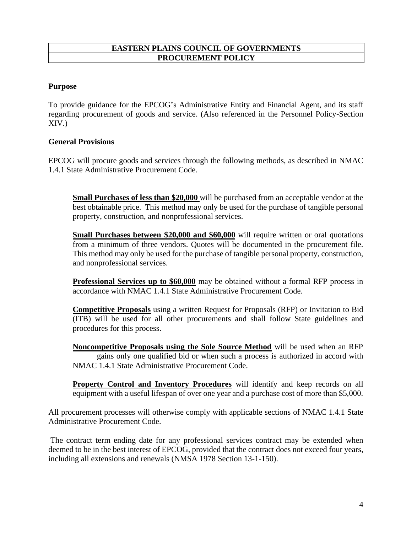### **EASTERN PLAINS COUNCIL OF GOVERNMENTS PROCUREMENT POLICY**

## **Purpose**

To provide guidance for the EPCOG's Administrative Entity and Financial Agent, and its staff regarding procurement of goods and service. (Also referenced in the Personnel Policy-Section XIV.)

### **General Provisions**

EPCOG will procure goods and services through the following methods, as described in NMAC 1.4.1 State Administrative Procurement Code.

**Small Purchases of less than \$20,000** will be purchased from an acceptable vendor at the best obtainable price. This method may only be used for the purchase of tangible personal property, construction, and nonprofessional services.

**Small Purchases between \$20,000 and \$60,000** will require written or oral quotations from a minimum of three vendors. Quotes will be documented in the procurement file. This method may only be used for the purchase of tangible personal property, construction, and nonprofessional services.

**Professional Services up to \$60,000** may be obtained without a formal RFP process in accordance with NMAC 1.4.1 State Administrative Procurement Code.

**Competitive Proposals** using a written Request for Proposals (RFP) or Invitation to Bid (ITB) will be used for all other procurements and shall follow State guidelines and procedures for this process.

**Noncompetitive Proposals using the Sole Source Method** will be used when an RFP gains only one qualified bid or when such a process is authorized in accord with NMAC 1.4.1 State Administrative Procurement Code.

**Property Control and Inventory Procedures** will identify and keep records on all equipment with a useful lifespan of over one year and a purchase cost of more than \$5,000.

All procurement processes will otherwise comply with applicable sections of NMAC 1.4.1 State Administrative Procurement Code.

The contract term ending date for any professional services contract may be extended when deemed to be in the best interest of EPCOG, provided that the contract does not exceed four years, including all extensions and renewals (NMSA 1978 Section 13-1-150).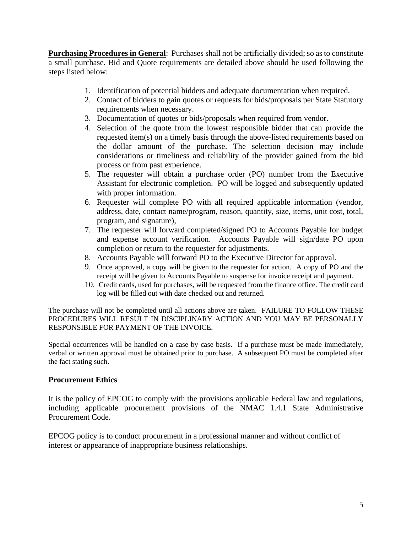**Purchasing Procedures in General**: Purchases shall not be artificially divided; so as to constitute a small purchase. Bid and Quote requirements are detailed above should be used following the steps listed below:

- 1. Identification of potential bidders and adequate documentation when required.
- 2. Contact of bidders to gain quotes or requests for bids/proposals per State Statutory requirements when necessary.
- 3. Documentation of quotes or bids/proposals when required from vendor.
- 4. Selection of the quote from the lowest responsible bidder that can provide the requested item(s) on a timely basis through the above-listed requirements based on the dollar amount of the purchase. The selection decision may include considerations or timeliness and reliability of the provider gained from the bid process or from past experience.
- 5. The requester will obtain a purchase order (PO) number from the Executive Assistant for electronic completion. PO will be logged and subsequently updated with proper information.
- 6. Requester will complete PO with all required applicable information (vendor, address, date, contact name/program, reason, quantity, size, items, unit cost, total, program, and signature),
- 7. The requester will forward completed/signed PO to Accounts Payable for budget and expense account verification. Accounts Payable will sign/date PO upon completion or return to the requester for adjustments.
- 8. Accounts Payable will forward PO to the Executive Director for approval.
- 9. Once approved, a copy will be given to the requester for action. A copy of PO and the receipt will be given to Accounts Payable to suspense for invoice receipt and payment.
- 10. Credit cards, used for purchases, will be requested from the finance office. The credit card log will be filled out with date checked out and returned.

The purchase will not be completed until all actions above are taken. FAILURE TO FOLLOW THESE PROCEDURES WILL RESULT IN DISCIPLINARY ACTION AND YOU MAY BE PERSONALLY RESPONSIBLE FOR PAYMENT OF THE INVOICE.

Special occurrences will be handled on a case by case basis. If a purchase must be made immediately, verbal or written approval must be obtained prior to purchase. A subsequent PO must be completed after the fact stating such.

# **Procurement Ethics**

It is the policy of EPCOG to comply with the provisions applicable Federal law and regulations, including applicable procurement provisions of the NMAC 1.4.1 State Administrative Procurement Code.

EPCOG policy is to conduct procurement in a professional manner and without conflict of interest or appearance of inappropriate business relationships.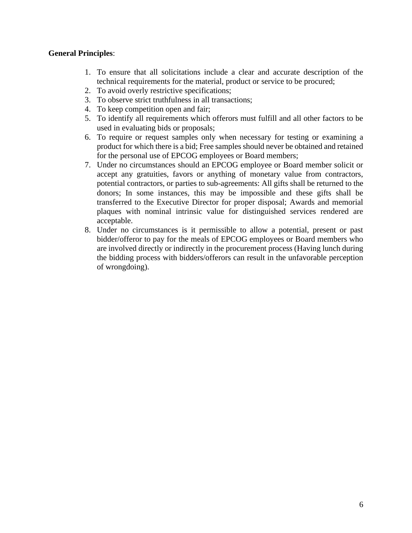# **General Principles**:

- 1. To ensure that all solicitations include a clear and accurate description of the technical requirements for the material, product or service to be procured;
- 2. To avoid overly restrictive specifications;
- 3. To observe strict truthfulness in all transactions;
- 4. To keep competition open and fair;
- 5. To identify all requirements which offerors must fulfill and all other factors to be used in evaluating bids or proposals;
- 6. To require or request samples only when necessary for testing or examining a product for which there is a bid; Free samples should never be obtained and retained for the personal use of EPCOG employees or Board members;
- 7. Under no circumstances should an EPCOG employee or Board member solicit or accept any gratuities, favors or anything of monetary value from contractors, potential contractors, or parties to sub-agreements: All gifts shall be returned to the donors; In some instances, this may be impossible and these gifts shall be transferred to the Executive Director for proper disposal; Awards and memorial plaques with nominal intrinsic value for distinguished services rendered are acceptable.
- 8. Under no circumstances is it permissible to allow a potential, present or past bidder/offeror to pay for the meals of EPCOG employees or Board members who are involved directly or indirectly in the procurement process (Having lunch during the bidding process with bidders/offerors can result in the unfavorable perception of wrongdoing).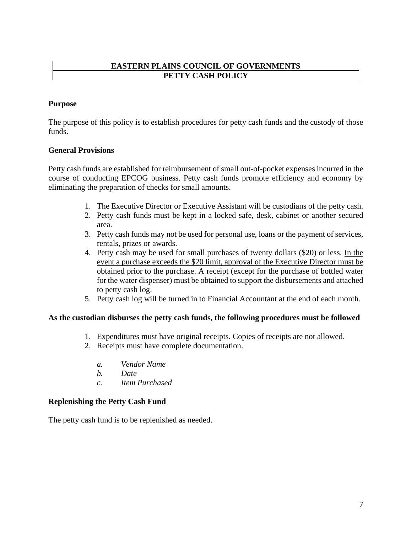# **EASTERN PLAINS COUNCIL OF GOVERNMENTS PETTY CASH POLICY**

# **Purpose**

The purpose of this policy is to establish procedures for petty cash funds and the custody of those funds.

# **General Provisions**

Petty cash funds are established for reimbursement of small out-of-pocket expenses incurred in the course of conducting EPCOG business. Petty cash funds promote efficiency and economy by eliminating the preparation of checks for small amounts.

- 1. The Executive Director or Executive Assistant will be custodians of the petty cash.
- 2. Petty cash funds must be kept in a locked safe, desk, cabinet or another secured area.
- 3. Petty cash funds may not be used for personal use, loans or the payment of services, rentals, prizes or awards.
- 4. Petty cash may be used for small purchases of twenty dollars (\$20) or less. In the event a purchase exceeds the \$20 limit, approval of the Executive Director must be obtained prior to the purchase. A receipt (except for the purchase of bottled water for the water dispenser) must be obtained to support the disbursements and attached to petty cash log.
- 5. Petty cash log will be turned in to Financial Accountant at the end of each month.

# **As the custodian disburses the petty cash funds, the following procedures must be followed**

- 1. Expenditures must have original receipts. Copies of receipts are not allowed.
- 2. Receipts must have complete documentation.
	- *a. Vendor Name*
	- *b. Date*
	- *c. Item Purchased*

# **Replenishing the Petty Cash Fund**

The petty cash fund is to be replenished as needed.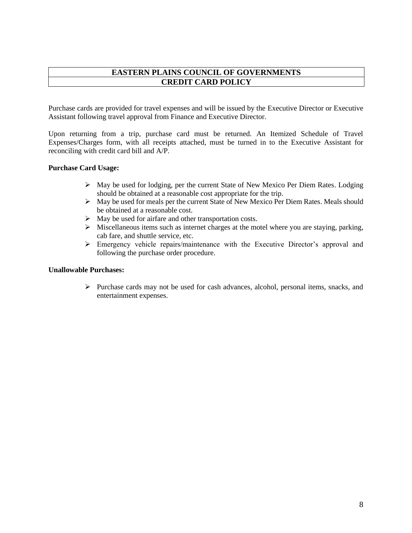## **EASTERN PLAINS COUNCIL OF GOVERNMENTS CREDIT CARD POLICY**

Purchase cards are provided for travel expenses and will be issued by the Executive Director or Executive Assistant following travel approval from Finance and Executive Director.

Upon returning from a trip, purchase card must be returned. An Itemized Schedule of Travel Expenses/Charges form, with all receipts attached, must be turned in to the Executive Assistant for reconciling with credit card bill and A/P.

#### **Purchase Card Usage:**

- ➢ May be used for lodging, per the current State of New Mexico Per Diem Rates. Lodging should be obtained at a reasonable cost appropriate for the trip.
- $\triangleright$  May be used for meals per the current State of New Mexico Per Diem Rates. Meals should be obtained at a reasonable cost.
- ➢ May be used for airfare and other transportation costs.
- $\triangleright$  Miscellaneous items such as internet charges at the motel where you are staying, parking, cab fare, and shuttle service, etc.
- ➢ Emergency vehicle repairs/maintenance with the Executive Director's approval and following the purchase order procedure.

#### **Unallowable Purchases:**

➢ Purchase cards may not be used for cash advances, alcohol, personal items, snacks, and entertainment expenses.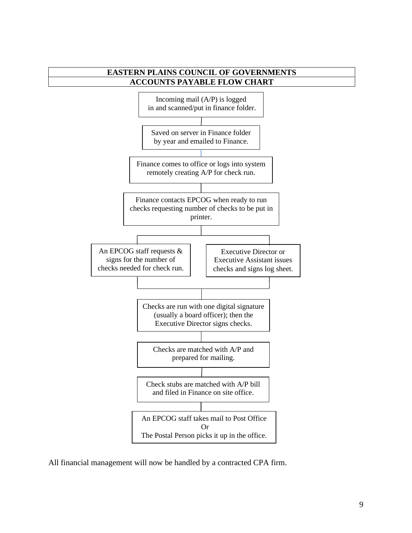

All financial management will now be handled by a contracted CPA firm.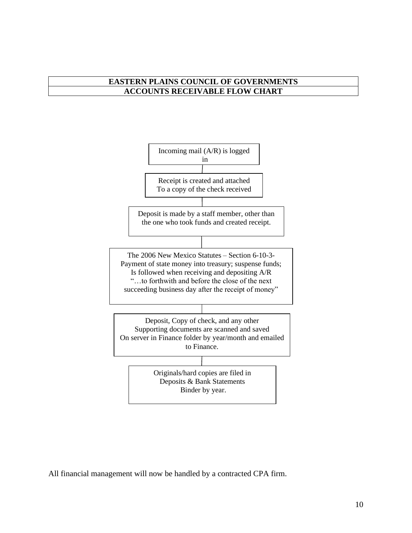# **EASTERN PLAINS COUNCIL OF GOVERNMENTS ACCOUNTS RECEIVABLE FLOW CHART**



All financial management will now be handled by a contracted CPA firm.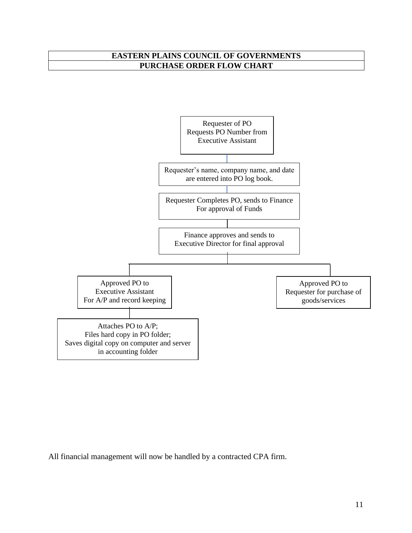# **EASTERN PLAINS COUNCIL OF GOVERNMENTS PURCHASE ORDER FLOW CHART**



All financial management will now be handled by a contracted CPA firm.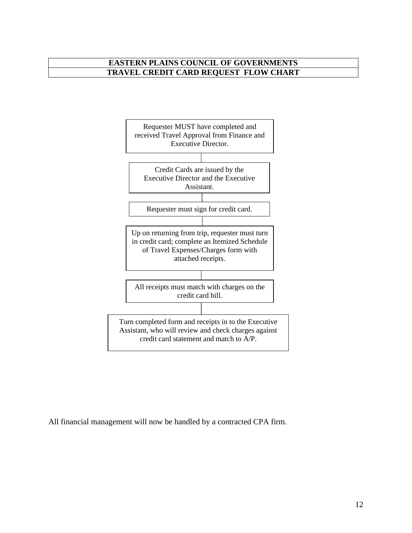# **EASTERN PLAINS COUNCIL OF GOVERNMENTS TRAVEL CREDIT CARD REQUEST FLOW CHART**



All financial management will now be handled by a contracted CPA firm.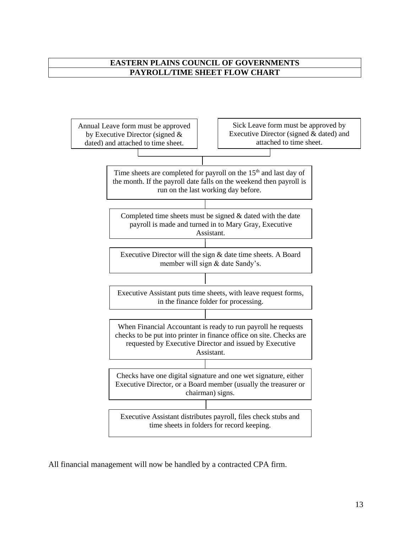# **EASTERN PLAINS COUNCIL OF GOVERNMENTS PAYROLL/TIME SHEET FLOW CHART**



All financial management will now be handled by a contracted CPA firm.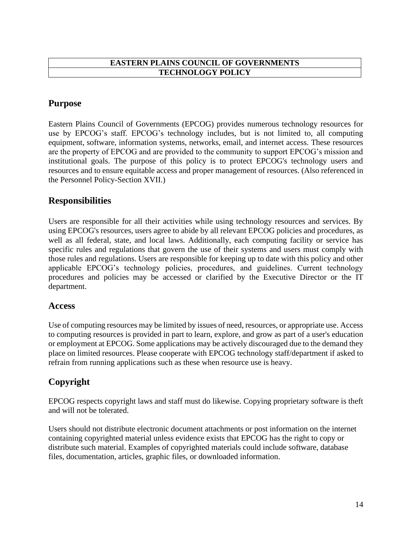# **EASTERN PLAINS COUNCIL OF GOVERNMENTS TECHNOLOGY POLICY**

# **Purpose**

Eastern Plains Council of Governments (EPCOG) provides numerous technology resources for use by EPCOG's staff. EPCOG's technology includes, but is not limited to, all computing equipment, software, information systems, networks, email, and internet access. These resources are the property of EPCOG and are provided to the community to support EPCOG's mission and institutional goals. The purpose of this policy is to protect EPCOG's technology users and resources and to ensure equitable access and proper management of resources. (Also referenced in the Personnel Policy-Section XVII.)

# **Responsibilities**

Users are responsible for all their activities while using technology resources and services. By using EPCOG's resources, users agree to abide by all relevant EPCOG policies and procedures, as well as all federal, state, and local laws. Additionally, each computing facility or service has specific rules and regulations that govern the use of their systems and users must comply with those rules and regulations. Users are responsible for keeping up to date with this policy and other applicable EPCOG's technology policies, procedures, and guidelines. Current technology procedures and policies may be accessed or clarified by the Executive Director or the IT department.

# **Access**

Use of computing resources may be limited by issues of need, resources, or appropriate use. Access to computing resources is provided in part to learn, explore, and grow as part of a user's education or employment at EPCOG. Some applications may be actively discouraged due to the demand they place on limited resources. Please cooperate with EPCOG technology staff/department if asked to refrain from running applications such as these when resource use is heavy.

# **Copyright**

EPCOG respects copyright laws and staff must do likewise. Copying proprietary software is theft and will not be tolerated.

Users should not distribute electronic document attachments or post information on the internet containing copyrighted material unless evidence exists that EPCOG has the right to copy or distribute such material. Examples of copyrighted materials could include software, database files, documentation, articles, graphic files, or downloaded information.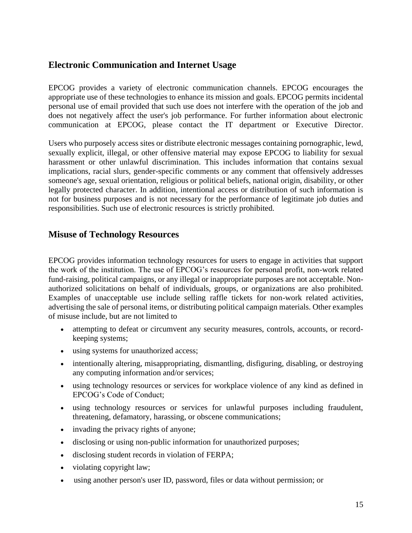# **Electronic Communication and Internet Usage**

EPCOG provides a variety of electronic communication channels. EPCOG encourages the appropriate use of these technologies to enhance its mission and goals. EPCOG permits incidental personal use of email provided that such use does not interfere with the operation of the job and does not negatively affect the user's job performance. For further information about electronic communication at EPCOG, please contact the IT department or Executive Director.

Users who purposely access sites or distribute electronic messages containing pornographic, lewd, sexually explicit, illegal, or other offensive material may expose EPCOG to liability for sexual harassment or other unlawful discrimination. This includes information that contains sexual implications, racial slurs, gender-specific comments or any comment that offensively addresses someone's age, sexual orientation, religious or political beliefs, national origin, disability, or other legally protected character. In addition, intentional access or distribution of such information is not for business purposes and is not necessary for the performance of legitimate job duties and responsibilities. Such use of electronic resources is strictly prohibited.

# **Misuse of Technology Resources**

EPCOG provides information technology resources for users to engage in activities that support the work of the institution. The use of EPCOG's resources for personal profit, non-work related fund-raising, political campaigns, or any illegal or inappropriate purposes are not acceptable. Nonauthorized solicitations on behalf of individuals, groups, or organizations are also prohibited. Examples of unacceptable use include selling raffle tickets for non-work related activities, advertising the sale of personal items, or distributing political campaign materials. Other examples of misuse include, but are not limited to

- attempting to defeat or circumvent any security measures, controls, accounts, or recordkeeping systems;
- using systems for unauthorized access;
- intentionally altering, misappropriating, dismantling, disfiguring, disabling, or destroying any computing information and/or services;
- using technology resources or services for workplace violence of any kind as defined in EPCOG's Code of Conduct;
- using technology resources or services for unlawful purposes including fraudulent, threatening, defamatory, harassing, or obscene communications;
- invading the privacy rights of anyone;
- disclosing or using non-public information for unauthorized purposes;
- disclosing student records in violation of FERPA;
- violating copyright law;
- using another person's user ID, password, files or data without permission; or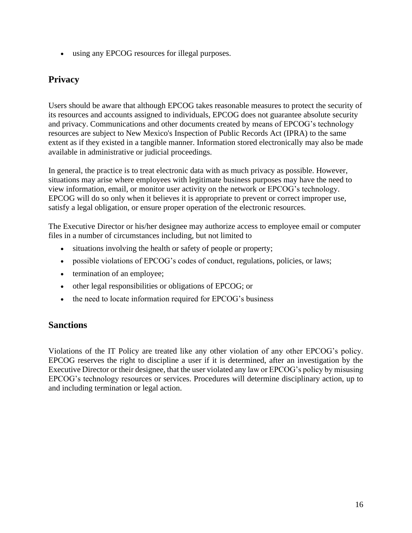• using any EPCOG resources for illegal purposes.

# **Privacy**

Users should be aware that although EPCOG takes reasonable measures to protect the security of its resources and accounts assigned to individuals, EPCOG does not guarantee absolute security and privacy. Communications and other documents created by means of EPCOG's technology resources are subject to New Mexico's Inspection of Public Records Act (IPRA) to the same extent as if they existed in a tangible manner. Information stored electronically may also be made available in administrative or judicial proceedings.

In general, the practice is to treat electronic data with as much privacy as possible. However, situations may arise where employees with legitimate business purposes may have the need to view information, email, or monitor user activity on the network or EPCOG's technology. EPCOG will do so only when it believes it is appropriate to prevent or correct improper use, satisfy a legal obligation, or ensure proper operation of the electronic resources.

The Executive Director or his/her designee may authorize access to employee email or computer files in a number of circumstances including, but not limited to

- situations involving the health or safety of people or property;
- possible violations of EPCOG's codes of conduct, regulations, policies, or laws;
- termination of an employee;
- other legal responsibilities or obligations of EPCOG; or
- the need to locate information required for EPCOG's business

# **Sanctions**

Violations of the IT Policy are treated like any other violation of any other EPCOG's policy. EPCOG reserves the right to discipline a user if it is determined, after an investigation by the Executive Director or their designee, that the user violated any law or EPCOG's policy by misusing EPCOG's technology resources or services. Procedures will determine disciplinary action, up to and including termination or legal action.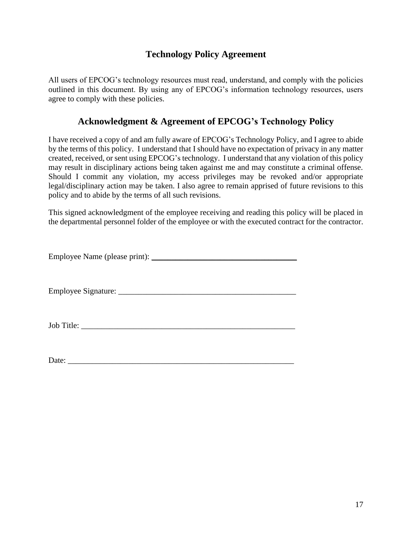# **Technology Policy Agreement**

All users of EPCOG's technology resources must read, understand, and comply with the policies outlined in this document. By using any of EPCOG's information technology resources, users agree to comply with these policies.

# **Acknowledgment & Agreement of EPCOG's Technology Policy**

I have received a copy of and am fully aware of EPCOG's Technology Policy, and I agree to abide by the terms of this policy. I understand that I should have no expectation of privacy in any matter created, received, or sent using EPCOG's technology. I understand that any violation of this policy may result in disciplinary actions being taken against me and may constitute a criminal offense. Should I commit any violation, my access privileges may be revoked and/or appropriate legal/disciplinary action may be taken. I also agree to remain apprised of future revisions to this policy and to abide by the terms of all such revisions.

This signed acknowledgment of the employee receiving and reading this policy will be placed in the departmental personnel folder of the employee or with the executed contract for the contractor.

Employee Name (please print): \_\_\_\_\_\_\_\_\_\_\_\_\_\_\_\_\_\_\_\_\_\_\_\_\_\_\_\_\_\_\_\_\_\_\_\_

Employee Signature: \_\_\_\_\_\_\_\_\_\_\_\_\_\_\_\_\_\_\_\_\_\_\_\_\_\_\_\_\_\_\_\_\_\_\_\_\_\_\_\_\_\_\_\_

Job Title:

Date: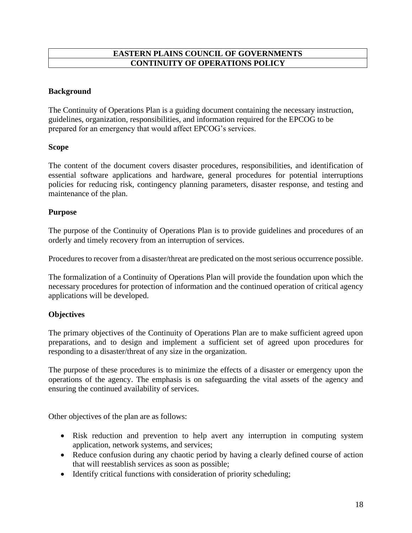## **EASTERN PLAINS COUNCIL OF GOVERNMENTS CONTINUITY OF OPERATIONS POLICY**

## **Background**

The Continuity of Operations Plan is a guiding document containing the necessary instruction, guidelines, organization, responsibilities, and information required for the EPCOG to be prepared for an emergency that would affect EPCOG's services.

#### **Scope**

The content of the document covers disaster procedures, responsibilities, and identification of essential software applications and hardware, general procedures for potential interruptions policies for reducing risk, contingency planning parameters, disaster response, and testing and maintenance of the plan.

#### **Purpose**

The purpose of the Continuity of Operations Plan is to provide guidelines and procedures of an orderly and timely recovery from an interruption of services.

Procedures to recover from a disaster/threat are predicated on the most serious occurrence possible.

The formalization of a Continuity of Operations Plan will provide the foundation upon which the necessary procedures for protection of information and the continued operation of critical agency applications will be developed.

#### **Objectives**

The primary objectives of the Continuity of Operations Plan are to make sufficient agreed upon preparations, and to design and implement a sufficient set of agreed upon procedures for responding to a disaster/threat of any size in the organization.

The purpose of these procedures is to minimize the effects of a disaster or emergency upon the operations of the agency. The emphasis is on safeguarding the vital assets of the agency and ensuring the continued availability of services.

Other objectives of the plan are as follows:

- Risk reduction and prevention to help avert any interruption in computing system application, network systems, and services;
- Reduce confusion during any chaotic period by having a clearly defined course of action that will reestablish services as soon as possible;
- Identify critical functions with consideration of priority scheduling;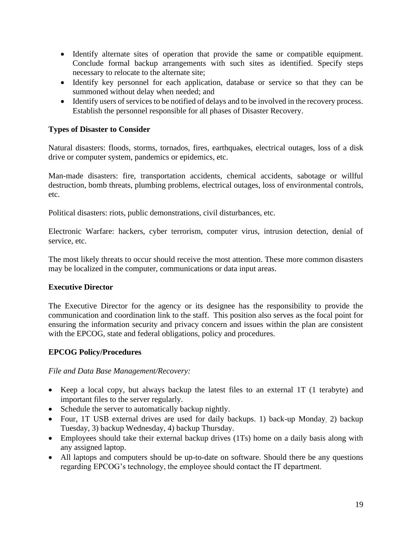- Identify alternate sites of operation that provide the same or compatible equipment. Conclude formal backup arrangements with such sites as identified. Specify steps necessary to relocate to the alternate site;
- Identify key personnel for each application, database or service so that they can be summoned without delay when needed; and
- Identify users of services to be notified of delays and to be involved in the recovery process. Establish the personnel responsible for all phases of Disaster Recovery.

# **Types of Disaster to Consider**

Natural disasters: floods, storms, tornados, fires, earthquakes, electrical outages, loss of a disk drive or computer system, pandemics or epidemics, etc.

Man-made disasters: fire, transportation accidents, chemical accidents, sabotage or willful destruction, bomb threats, plumbing problems, electrical outages, loss of environmental controls, etc.

Political disasters: riots, public demonstrations, civil disturbances, etc.

Electronic Warfare: hackers, cyber terrorism, computer virus, intrusion detection, denial of service, etc.

The most likely threats to occur should receive the most attention. These more common disasters may be localized in the computer, communications or data input areas.

# **Executive Director**

The Executive Director for the agency or its designee has the responsibility to provide the communication and coordination link to the staff. This position also serves as the focal point for ensuring the information security and privacy concern and issues within the plan are consistent with the EPCOG, state and federal obligations, policy and procedures.

# **EPCOG Policy/Procedures**

#### *File and Data Base Management/Recovery:*

- Keep a local copy, but always backup the latest files to an external 1T (1 terabyte) and important files to the server regularly.
- Schedule the server to automatically backup nightly.
- Four, 1T USB external drives are used for daily backups. 1) back-up Monday 2) backup Tuesday, 3) backup Wednesday, 4) backup Thursday.
- Employees should take their external backup drives (1Ts) home on a daily basis along with any assigned laptop.
- All laptops and computers should be up-to-date on software. Should there be any questions regarding EPCOG's technology, the employee should contact the IT department.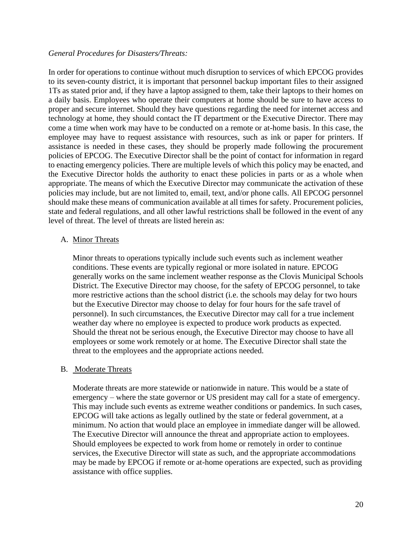#### *General Procedures for Disasters/Threats:*

In order for operations to continue without much disruption to services of which EPCOG provides to its seven-county district, it is important that personnel backup important files to their assigned 1Ts as stated prior and, if they have a laptop assigned to them, take their laptops to their homes on a daily basis. Employees who operate their computers at home should be sure to have access to proper and secure internet. Should they have questions regarding the need for internet access and technology at home, they should contact the IT department or the Executive Director. There may come a time when work may have to be conducted on a remote or at-home basis. In this case, the employee may have to request assistance with resources, such as ink or paper for printers. If assistance is needed in these cases, they should be properly made following the procurement policies of EPCOG. The Executive Director shall be the point of contact for information in regard to enacting emergency policies. There are multiple levels of which this policy may be enacted, and the Executive Director holds the authority to enact these policies in parts or as a whole when appropriate. The means of which the Executive Director may communicate the activation of these policies may include, but are not limited to, email, text, and/or phone calls. All EPCOG personnel should make these means of communication available at all times for safety. Procurement policies, state and federal regulations, and all other lawful restrictions shall be followed in the event of any level of threat. The level of threats are listed herein as:

#### A. Minor Threats

Minor threats to operations typically include such events such as inclement weather conditions. These events are typically regional or more isolated in nature. EPCOG generally works on the same inclement weather response as the Clovis Municipal Schools District. The Executive Director may choose, for the safety of EPCOG personnel, to take more restrictive actions than the school district (i.e. the schools may delay for two hours but the Executive Director may choose to delay for four hours for the safe travel of personnel). In such circumstances, the Executive Director may call for a true inclement weather day where no employee is expected to produce work products as expected. Should the threat not be serious enough, the Executive Director may choose to have all employees or some work remotely or at home. The Executive Director shall state the threat to the employees and the appropriate actions needed.

#### B. Moderate Threats

Moderate threats are more statewide or nationwide in nature. This would be a state of emergency – where the state governor or US president may call for a state of emergency. This may include such events as extreme weather conditions or pandemics. In such cases, EPCOG will take actions as legally outlined by the state or federal government, at a minimum. No action that would place an employee in immediate danger will be allowed. The Executive Director will announce the threat and appropriate action to employees. Should employees be expected to work from home or remotely in order to continue services, the Executive Director will state as such, and the appropriate accommodations may be made by EPCOG if remote or at-home operations are expected, such as providing assistance with office supplies.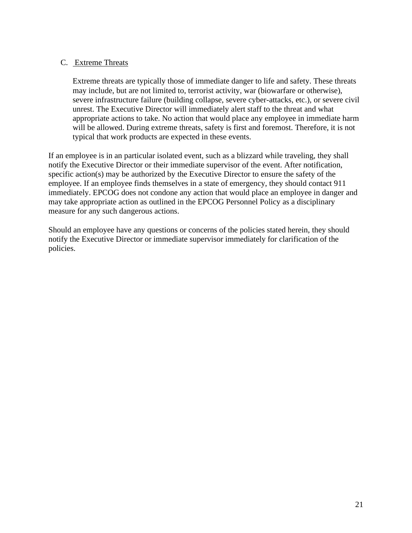### C. Extreme Threats

Extreme threats are typically those of immediate danger to life and safety. These threats may include, but are not limited to, terrorist activity, war (biowarfare or otherwise), severe infrastructure failure (building collapse, severe cyber-attacks, etc.), or severe civil unrest. The Executive Director will immediately alert staff to the threat and what appropriate actions to take. No action that would place any employee in immediate harm will be allowed. During extreme threats, safety is first and foremost. Therefore, it is not typical that work products are expected in these events.

If an employee is in an particular isolated event, such as a blizzard while traveling, they shall notify the Executive Director or their immediate supervisor of the event. After notification, specific action(s) may be authorized by the Executive Director to ensure the safety of the employee. If an employee finds themselves in a state of emergency, they should contact 911 immediately. EPCOG does not condone any action that would place an employee in danger and may take appropriate action as outlined in the EPCOG Personnel Policy as a disciplinary measure for any such dangerous actions.

Should an employee have any questions or concerns of the policies stated herein, they should notify the Executive Director or immediate supervisor immediately for clarification of the policies.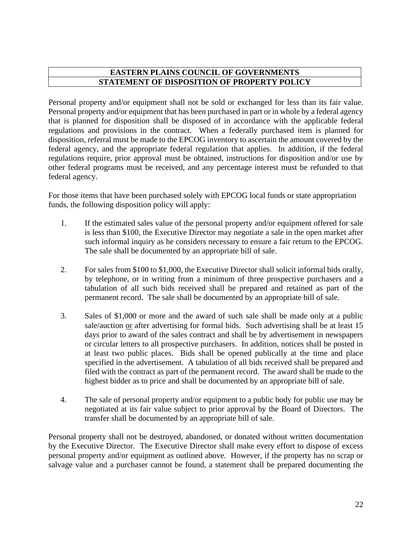# **EASTERN PLAINS COUNCIL OF GOVERNMENTS STATEMENT OF DISPOSITION OF PROPERTY POLICY**

Personal property and/or equipment shall not be sold or exchanged for less than its fair value. Personal property and/or equipment that has been purchased in part or in whole by a federal agency that is planned for disposition shall be disposed of in accordance with the applicable federal regulations and provisions in the contract. When a federally purchased item is planned for disposition, referral must be made to the EPCOG inventory to ascertain the amount covered by the federal agency, and the appropriate federal regulation that applies. In addition, if the federal regulations require, prior approval must be obtained, instructions for disposition and/or use by other federal programs must be received, and any percentage interest must be refunded to that federal agency.

For those items that have been purchased solely with EPCOG local funds or state appropriation funds, the following disposition policy will apply:

- 1. If the estimated sales value of the personal property and/or equipment offered for sale is less than \$100, the Executive Director may negotiate a sale in the open market after such informal inquiry as he considers necessary to ensure a fair return to the EPCOG. The sale shall be documented by an appropriate bill of sale.
- 2. For sales from \$100 to \$1,000, the Executive Director shall solicit informal bids orally, by telephone, or in writing from a minimum of three prospective purchasers and a tabulation of all such bids received shall be prepared and retained as part of the permanent record. The sale shall be documented by an appropriate bill of sale.
- 3. Sales of \$1,000 or more and the award of such sale shall be made only at a public sale/auction or after advertising for formal bids. Such advertising shall be at least 15 days prior to award of the sales contract and shall be by advertisement in newspapers or circular letters to all prospective purchasers. In addition, notices shall be posted in at least two public places. Bids shall be opened publically at the time and place specified in the advertisement. A tabulation of all bids received shall be prepared and filed with the contract as part of the permanent record. The award shall be made to the highest bidder as to price and shall be documented by an appropriate bill of sale.
- 4. The sale of personal property and/or equipment to a public body for public use may be negotiated at its fair value subject to prior approval by the Board of Directors. The transfer shall be documented by an appropriate bill of sale.

Personal property shall not be destroyed, abandoned, or donated without written documentation by the Executive Director. The Executive Director shall make every effort to dispose of excess personal property and/or equipment as outlined above. However, if the property has no scrap or salvage value and a purchaser cannot be found, a statement shall be prepared documenting the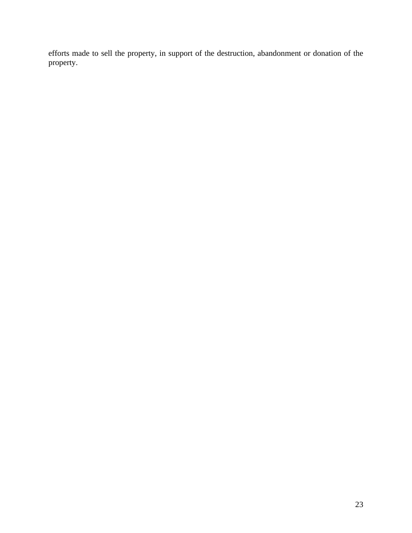efforts made to sell the property, in support of the destruction, abandonment or donation of the property.